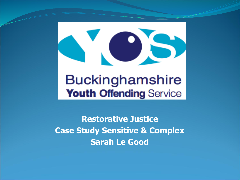

#### **Buckinghamshire Youth Offending Service**

**Restorative Justice Case Study Sensitive & Complex Sarah Le Good**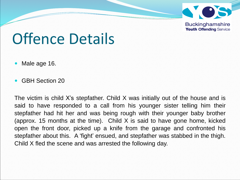

Offence Details

- Male age 16.
- GBH Section 20

The victim is child X's stepfather. Child X was initially out of the house and is said to have responded to a call from his younger sister telling him their stepfather had hit her and was being rough with their younger baby brother (approx. 15 months at the time). Child X is said to have gone home, kicked open the front door, picked up a knife from the garage and confronted his stepfather about this. A 'fight' ensued, and stepfather was stabbed in the thigh. Child X fled the scene and was arrested the following day.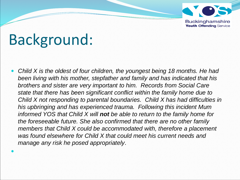

# Background:

 $\bullet$ 

 *Child X is the oldest of four children, the youngest being 18 months. He had been living with his mother, stepfather and family and has indicated that his brothers and sister are very important to him. Records from Social Care state that there has been significant conflict within the family home due to Child X not responding to parental boundaries. Child X has had difficulties in his upbringing and has experienced trauma. Following this incident Mum informed YOS that Child X will not be able to return to the family home for the foreseeable future. She also confirmed that there are no other family members that Child X could be accommodated with, therefore a placement was found elsewhere for Child X that could meet his current needs and manage any risk he posed appropriately*.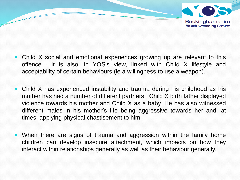

- Child X social and emotional experiences growing up are relevant to this offence. It is also, in YOS's view, linked with Child X lifestyle and acceptability of certain behaviours (ie a willingness to use a weapon).
- Child X has experienced instability and trauma during his childhood as his mother has had a number of different partners. Child X birth father displayed violence towards his mother and Child X as a baby. He has also witnessed different males in his mother's life being aggressive towards her and, at times, applying physical chastisement to him.
- When there are signs of trauma and aggression within the family home children can develop insecure attachment, which impacts on how they interact within relationships generally as well as their behaviour generally.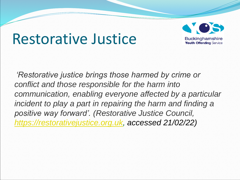#### Restorative Justice



*'Restorative justice brings those harmed by crime or conflict and those responsible for the harm into communication, enabling everyone affected by a particular incident to play a part in repairing the harm and finding a positive way forward'. (Restorative Justice Council, [https://restorativejustice.org.uk,](https://restorativejustice.org.uk/) accessed 21/02/22)*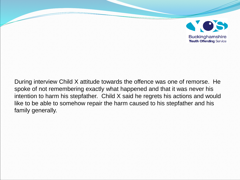

During interview Child X attitude towards the offence was one of remorse. He spoke of not remembering exactly what happened and that it was never his intention to harm his stepfather. Child X said he regrets his actions and would like to be able to somehow repair the harm caused to his stepfather and his family generally.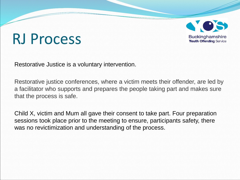## RJ Process



Restorative Justice is a voluntary intervention.

Restorative justice conferences, where a victim meets their offender, are led by a facilitator who supports and prepares the people taking part and makes sure that the process is safe.

Child X, victim and Mum all gave their consent to take part. Four preparation sessions took place prior to the meeting to ensure, participants safety, there was no revictimization and understanding of the process.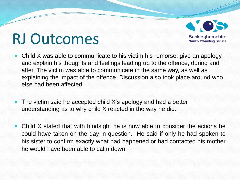

#### RJ Outcomes

- Child X was able to communicate to his victim his remorse, give an apology, and explain his thoughts and feelings leading up to the offence, during and after. The victim was able to communicate in the same way, as well as explaining the impact of the offence. Discussion also took place around who else had been affected.
- The victim said he accepted child X's apology and had a better understanding as to why child X reacted in the way he did.
- Child X stated that with hindsight he is now able to consider the actions he could have taken on the day in question. He said if only he had spoken to his sister to confirm exactly what had happened or had contacted his mother he would have been able to calm down.